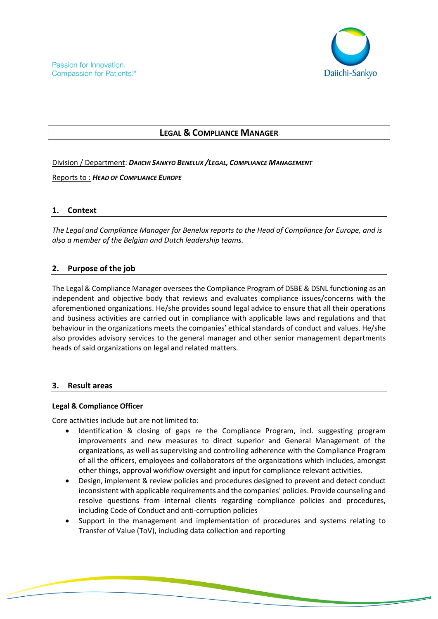

# **LEGAL & COMPLIANCE MANAGER**

Division / Department: *DAIICHI SANKYO BENELUX /LEGAL, COMPLIANCE MANAGEMENT*

Reports to : *HEAD OF COMPLIANCE EUROPE*

# **1. Context**

*The Legal and Compliance Manager for Benelux reports to the Head of Compliance for Europe, and is also a member of the Belgian and Dutch leadership teams.*

# **2. Purpose of the job**

The Legal & Compliance Manager oversees the Compliance Program of DSBE & DSNL functioning as an independent and objective body that reviews and evaluates compliance issues/concerns with the aforementioned organizations. He/she provides sound legal advice to ensure that all their operations and business activities are carried out in compliance with applicable laws and regulations and that behaviour in the organizations meets the companies' ethical standards of conduct and values. He/she also provides advisory services to the general manager and other senior management departments heads of said organizations on legal and related matters.

# **3. Result areas**

# **Legal & Compliance Officer**

Core activities include but are not limited to:

- Identification & closing of gaps re the Compliance Program, incl. suggesting program improvements and new measures to direct superior and General Management of the organizations, as well as supervising and controlling adherence with the Compliance Program of all the officers, employees and collaborators of the organizations which includes, amongst other things, approval workflow oversight and input for compliance relevant activities.
- Design, implement & review policies and procedures designed to prevent and detect conduct inconsistent with applicable requirements and the companies' policies. Provide counseling and resolve questions from internal clients regarding compliance policies and procedures, including Code of Conduct and anti-corruption policies
- Support in the management and implementation of procedures and systems relating to Transfer of Value (ToV), including data collection and reporting